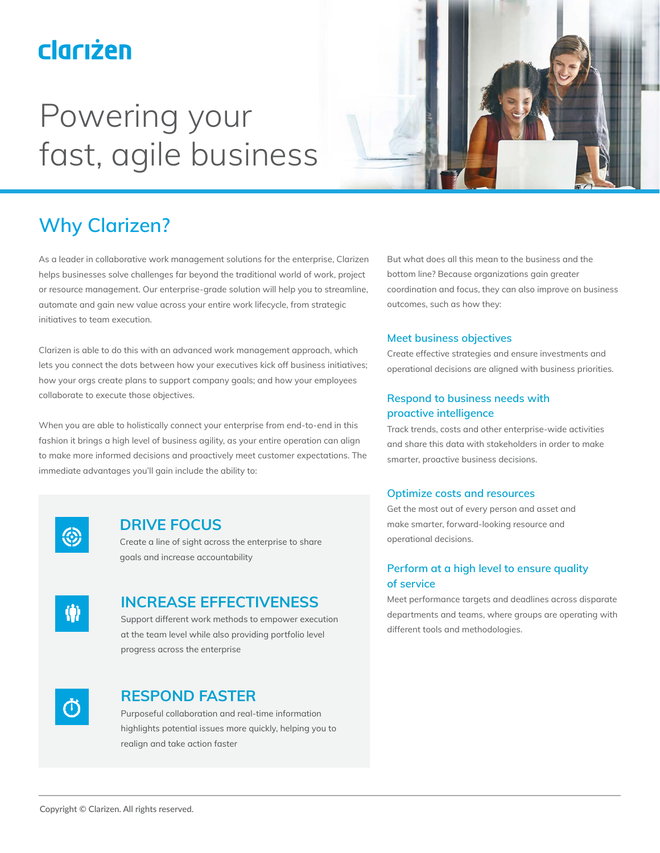## clariżen

# Powering your fast, agile business



## **Why Clarizen?**

As a leader in collaborative work management solutions for the enterprise, Clarizen helps businesses solve challenges far beyond the traditional world of work, project or resource management. Our enterprise-grade solution will help you to streamline, automate and gain new value across your entire work lifecycle, from strategic initiatives to team execution.

Clarizen is able to do this with an advanced work management approach, which lets you connect the dots between how your executives kick off business initiatives; how your orgs create plans to support company goals; and how your employees collaborate to execute those objectives.

When you are able to holistically connect your enterprise from end-to-end in this fashion it brings a high level of business agility, as your entire operation can align to make more informed decisions and proactively meet customer expectations. The immediate advantages you'll gain include the ability to:



### **DRIVE FOCUS**

Create a line of sight across the enterprise to share goals and increase accountability



### **INCREASE EFFECTIVENESS**

Support different work methods to empower execution at the team level while also providing portfolio level progress across the enterprise



### **RESPOND FASTER**

Purposeful collaboration and real-time information highlights potential issues more quickly, helping you to realign and take action faster

But what does all this mean to the business and the bottom line? Because organizations gain greater coordination and focus, they can also improve on business outcomes, such as how they:

#### **Meet business objectives**

Create effective strategies and ensure investments and operational decisions are aligned with business priorities.

#### **Respond to business needs with proactive intelligence**

Track trends, costs and other enterprise-wide activities and share this data with stakeholders in order to make smarter, proactive business decisions.

#### **Optimize costs and resources**

Get the most out of every person and asset and make smarter, forward-looking resource and operational decisions.

#### **Perform at a high level to ensure quality of service**

Meet performance targets and deadlines across disparate departments and teams, where groups are operating with different tools and methodologies.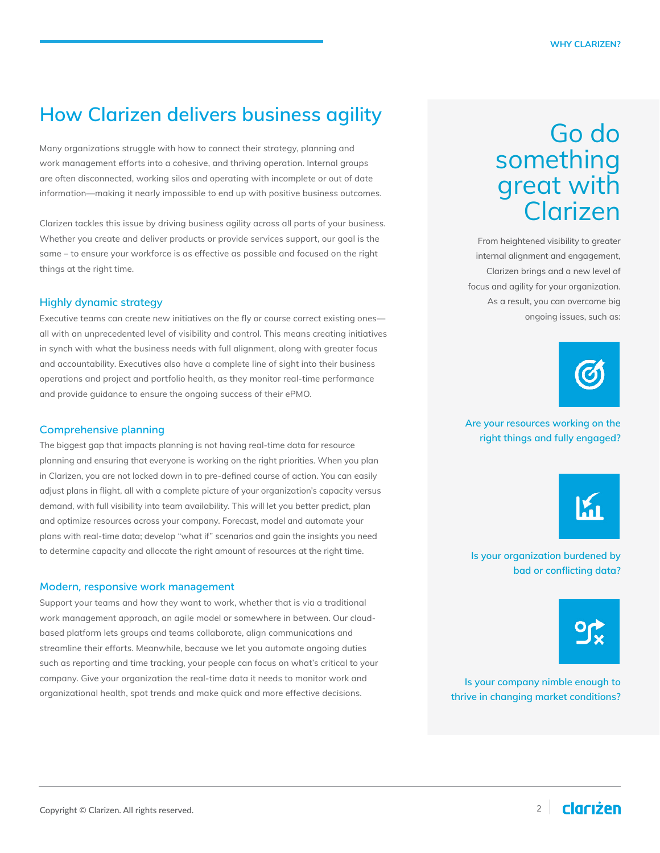## **How Clarizen delivers business agility**

Many organizations struggle with how to connect their strategy, planning and work management efforts into a cohesive, and thriving operation. Internal groups are often disconnected, working silos and operating with incomplete or out of date information—making it nearly impossible to end up with positive business outcomes.

Clarizen tackles this issue by driving business agility across all parts of your business. Whether you create and deliver products or provide services support, our goal is the same – to ensure your workforce is as effective as possible and focused on the right things at the right time.

#### **Highly dynamic strategy**

Executive teams can create new initiatives on the fly or course correct existing ones all with an unprecedented level of visibility and control. This means creating initiatives in synch with what the business needs with full alignment, along with greater focus and accountability. Executives also have a complete line of sight into their business operations and project and portfolio health, as they monitor real-time performance and provide guidance to ensure the ongoing success of their ePMO.

#### Comprehensive planning

The biggest gap that impacts planning is not having real-time data for resource planning and ensuring that everyone is working on the right priorities. When you plan in Clarizen, you are not locked down in to pre-defined course of action. You can easily adjust plans in flight, all with a complete picture of your organization's capacity versus demand, with full visibility into team availability. This will let you better predict, plan and optimize resources across your company. Forecast, model and automate your plans with real-time data; develop "what if" scenarios and gain the insights you need to determine capacity and allocate the right amount of resources at the right time.

#### Modern, responsive work management

Support your teams and how they want to work, whether that is via a traditional work management approach, an agile model or somewhere in between. Our cloudbased platform lets groups and teams collaborate, align communications and streamline their efforts. Meanwhile, because we let you automate ongoing duties such as reporting and time tracking, your people can focus on what's critical to your company. Give your organization the real-time data it needs to monitor work and organizational health, spot trends and make quick and more effective decisions.

## Go do something great with Clarizen

From heightened visibility to greater internal alignment and engagement, Clarizen brings and a new level of focus and agility for your organization. As a result, you can overcome big ongoing issues, such as:



#### **Are your resources working on the right things and fully engaged?**



**Is your organization burdened by bad or conflicting data?**



**Is your company nimble enough to thrive in changing market conditions?**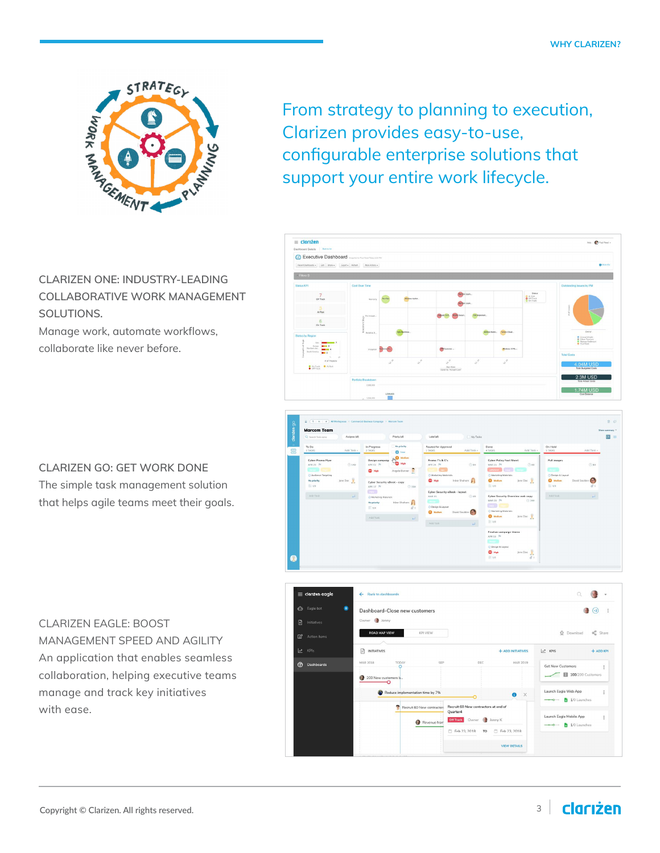

From strategy to planning to execution, Clarizen provides easy-to-use, configurable enterprise solutions that support your entire work lifecycle.



Manage work, automate workflows, collaborate like never before.







## **CLARIZEN GO: GET WORK DONE**

The simple task management solution that helps agile teams meet their goals.

#### CLARIZEN EAGLE: BOOST

MANAGEMENT SPEED AND AGILITY An application that enables seamless collaboration, helping executive teams manage and track key initiatives with ease.